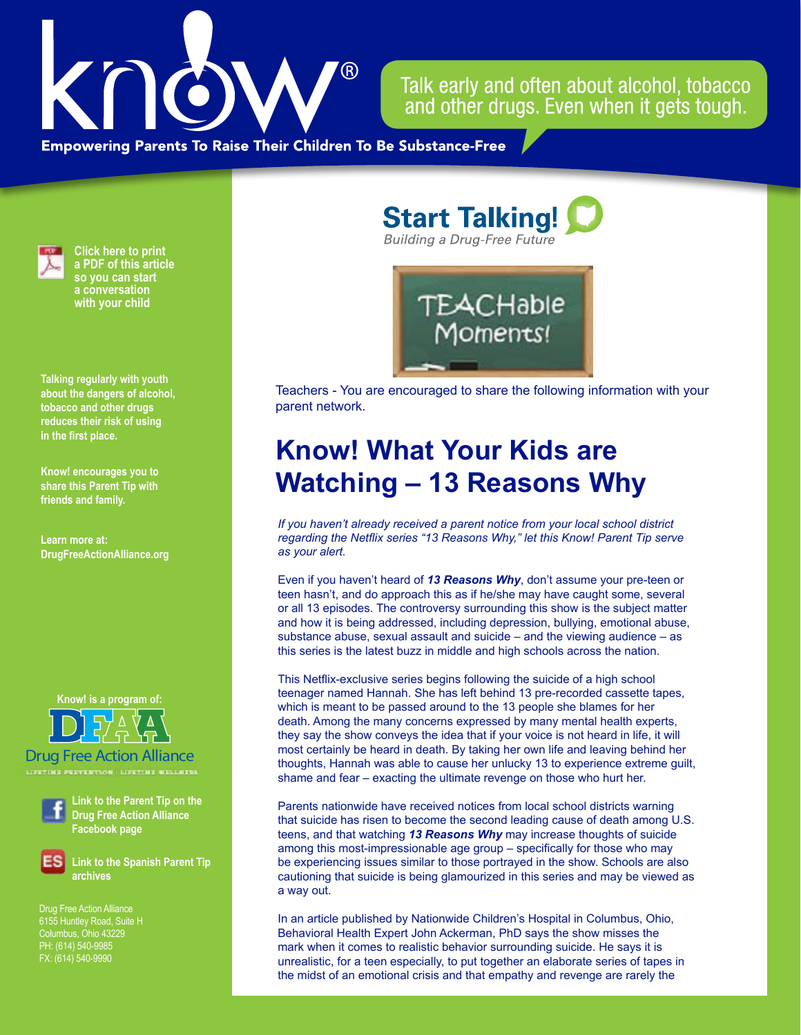

Talk early and often about alcohol, tobacco and other drugs. Even when it gets tough.

**Empowering Parents To Raise Their Children To Be Substance-Free** 



**Click here to print a PDF of this article so you can start a conversation with your child**

**Talking regularly with youth about the dangers of alcohol, tobacco and other drugs reduces their risk of using in the first place.**

**Know! encourages you to share this Parent Tip with friends and family.**

**Learn more at: DrugFreeActionAlliance.org**

**Know! is a program of:**

Drug Free Action Alliance **LIFETIME PREVENTION | LIFETIME WELLNESS**

**Link to the Parent Tip on the Drug Free Action Alliance Facebook page**

**Link to the Spanish Parent Tip archives**

Drug Free Action Alliance 6155 Huntley Road, Suite H PH: (614) 540-9985 FX: (614) 540-9990

**Start Talking! Building a Drug-Free Future** 



Teachers - You are encouraged to share the following information with your parent network.

## **Know! What Your Kids are Watching – 13 Reasons Why**

*If you haven't already received a parent notice from your local school district regarding the Netflix series "13 Reasons Why," let this Know! Parent Tip serve as your alert.* 

Even if you haven't heard of *13 Reasons Why*, don't assume your pre-teen or teen hasn't, and do approach this as if he/she may have caught some, several or all 13 episodes. The controversy surrounding this show is the subject matter and how it is being addressed, including depression, bullying, emotional abuse, substance abuse, sexual assault and suicide – and the viewing audience – as this series is the latest buzz in middle and high schools across the nation.

This Netflix-exclusive series begins following the suicide of a high school teenager named Hannah. She has left behind 13 pre-recorded cassette tapes, which is meant to be passed around to the 13 people she blames for her death. Among the many concerns expressed by many mental health experts, they say the show conveys the idea that if your voice is not heard in life, it will most certainly be heard in death. By taking her own life and leaving behind her thoughts, Hannah was able to cause her unlucky 13 to experience extreme guilt, shame and fear – exacting the ultimate revenge on those who hurt her.

Parents nationwide have received notices from local school districts warning that suicide has risen to become the second leading cause of death among U.S. teens, and that watching *13 Reasons Why* may increase thoughts of suicide among this most-impressionable age group – specifically for those who may be experiencing issues similar to those portrayed in the show. Schools are also cautioning that suicide is being glamourized in this series and may be viewed as a way out.

In an article published by Nationwide Children's Hospital in Columbus, Ohio, Behavioral Health Expert John Ackerman, PhD says the show misses the mark when it comes to realistic behavior surrounding suicide. He says it is unrealistic, for a teen especially, to put together an elaborate series of tapes in the midst of an emotional crisis and that empathy and revenge are rarely the